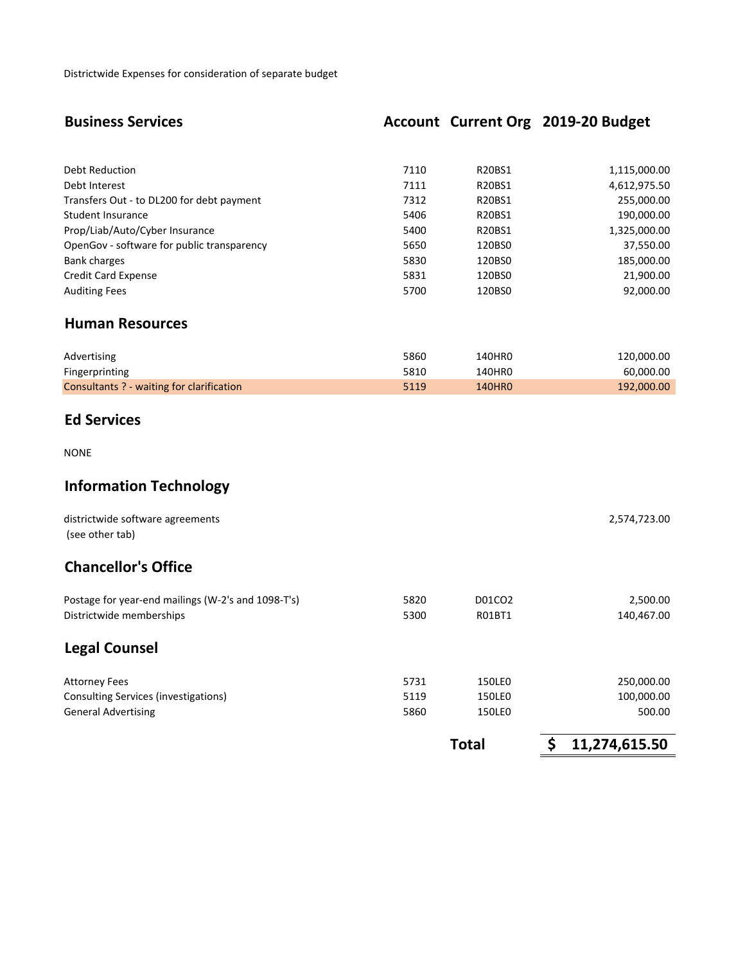Districtwide Expenses for consideration of separate budget

# **Business Services Account Current Org 2019-20 Budget**

| Debt Reduction                             | 7110 | R20BS1 | 1,115,000.00 |
|--------------------------------------------|------|--------|--------------|
| Debt Interest                              | 7111 | R20BS1 | 4,612,975.50 |
| Transfers Out - to DL200 for debt payment  | 7312 | R20BS1 | 255,000.00   |
| Student Insurance                          | 5406 | R20BS1 | 190,000.00   |
| Prop/Liab/Auto/Cyber Insurance             | 5400 | R20BS1 | 1,325,000.00 |
| OpenGov - software for public transparency | 5650 | 120BS0 | 37,550.00    |
| <b>Bank charges</b>                        | 5830 | 120BS0 | 185,000.00   |
| <b>Credit Card Expense</b>                 | 5831 | 120BS0 | 21,900.00    |
| <b>Auditing Fees</b>                       | 5700 | 120BS0 | 92,000.00    |
|                                            |      |        |              |

### **Human Resources**

| Advertising                               | 5860 | 140HR0        | 120,000.00 |
|-------------------------------------------|------|---------------|------------|
| Fingerprinting                            | 5810 | 140HR0        | 60.000.00  |
| Consultants ? - waiting for clarification | 5119 | <b>140HRO</b> | 192.000.00 |

## **Ed Services**

NONE

# **Information Technology**

| districtwide software agreements<br>(see other tab) |      |        | 2,574,723.00       |
|-----------------------------------------------------|------|--------|--------------------|
| <b>Chancellor's Office</b>                          |      |        |                    |
| Postage for year-end mailings (W-2's and 1098-T's)  | 5820 | D01CO2 | 2,500.00           |
| Districtwide memberships                            | 5300 | R01BT1 | 140,467.00         |
| <b>Legal Counsel</b>                                |      |        |                    |
| <b>Attorney Fees</b>                                | 5731 | 150LE0 | 250,000.00         |
| Consulting Services (investigations)                | 5119 | 150LE0 | 100,000.00         |
| <b>General Advertising</b>                          | 5860 | 150LE0 | 500.00             |
|                                                     |      | Total  | Ś<br>11,274,615.50 |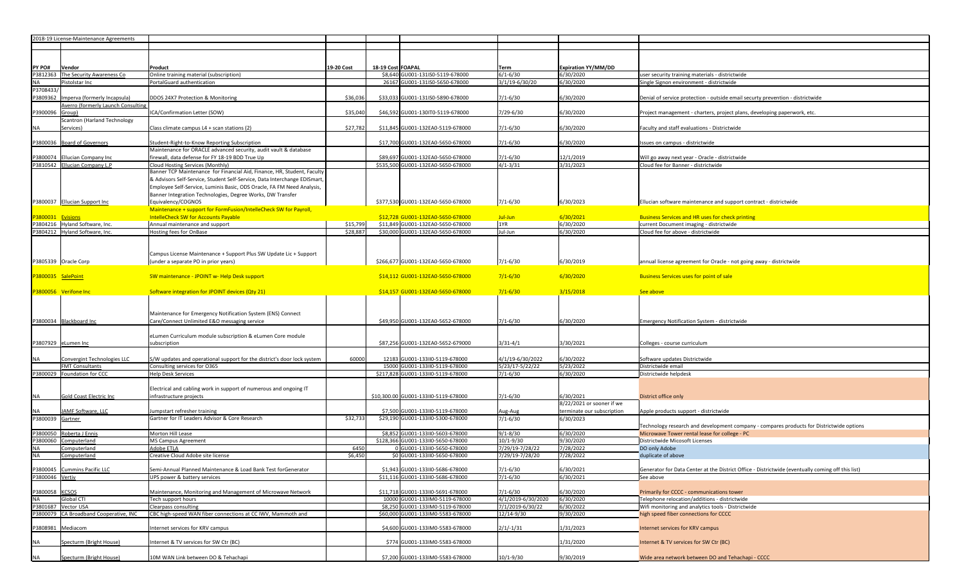| 2018-19 License-Maintenance Agreements                             |                                                                                                           |                 |                   |                                                                  |                                     |                            |                                                                                                   |
|--------------------------------------------------------------------|-----------------------------------------------------------------------------------------------------------|-----------------|-------------------|------------------------------------------------------------------|-------------------------------------|----------------------------|---------------------------------------------------------------------------------------------------|
|                                                                    |                                                                                                           |                 |                   |                                                                  |                                     |                            |                                                                                                   |
|                                                                    |                                                                                                           |                 |                   |                                                                  |                                     |                            |                                                                                                   |
| PY PO#<br>Vendor                                                   | Product                                                                                                   | 19-20 Cost      | 18-19 Cost FOAPAL |                                                                  | Term                                | <b>Expiration YY/MM/DD</b> |                                                                                                   |
| The Security Awareness Co<br>P3812363                              | Online training material (subscription)                                                                   |                 |                   | \$8,640 GU001-131IS0-5119-678000                                 | $6/1 - 6/30$                        | 6/30/2020                  | user security training materials - districtwide                                                   |
| Pistolstar Inc<br>NA                                               | PortalGuard authentication                                                                                |                 |                   | 26167 GU001-131IS0-5650-678000                                   | $3/1/19 - 6/30/20$                  | 6/30/2020                  | Single Signon environment - districtwide                                                          |
| P3708433/                                                          |                                                                                                           |                 |                   |                                                                  |                                     |                            |                                                                                                   |
| P3809362<br>Imperva (formerly Incapsula)                           | DDOS 24X7 Protection & Monitoring                                                                         | \$36,036        |                   | \$33,033 GU001-131IS0-5890-678000                                | $7/1 - 6/30$                        | 6/30/2020                  | Denial of service protection - outside email securty prevention - districtwide                    |
| Averro (formerly Launch Consulting                                 |                                                                                                           |                 |                   |                                                                  |                                     |                            |                                                                                                   |
| P3900096 Group)                                                    | ICA/Confirmation Letter (SOW)                                                                             | \$35,040        |                   | \$46,592 GU001-1301T0-5119-678000                                | 7/29-6/30                           | 6/30/2020                  | Project management - charters, project plans, developing paperwork, etc.                          |
| <b>Scantron (Harland Technology</b>                                |                                                                                                           |                 |                   |                                                                  |                                     |                            |                                                                                                   |
| Services)<br>NA                                                    | Class climate campus L4 + scan stations (2)                                                               | \$27,782        |                   | \$11,845 GU001-132EA0-5119-678000                                | $7/1 - 6/30$                        | 6/30/2020                  | Faculty and staff evaluations - Districtwide                                                      |
|                                                                    |                                                                                                           |                 |                   |                                                                  |                                     |                            |                                                                                                   |
| P3800036 Board of Governors                                        | Student-Right-to-Know Reporting Subscription                                                              |                 |                   | \$17,700 GU001-132EA0-5650-678000                                | $7/1 - 6/30$                        | 6/30/2020                  | Issues on campus - districtwide                                                                   |
|                                                                    | Maintenance for ORACLE advanced security, audit vault & database                                          |                 |                   | \$89.697 GU001-132EA0-5650-678000                                |                                     |                            |                                                                                                   |
| P3800074 Ellucian Company Inc<br>P3810542 Ellucian Company L.P     | firewall, data defense for FY 18-19 BDD True Up<br>Cloud Hosting Services (Monthly)                       |                 |                   | \$535,500 GU001-132EA0-5650-678000                               | $7/1 - 6/30$<br>$4/1 - 3/31$        | 12/1/2019<br>3/31/2023     | Will go away next year - Oracle - districtwide<br>Cloud fee for Banner - districtwide             |
|                                                                    | Banner TCP Maintenance for Financial Aid, Finance, HR, Student, Faculty                                   |                 |                   |                                                                  |                                     |                            |                                                                                                   |
|                                                                    | & Advisors Self-Service, Student Self-Service, Data Interchange EDISmart,                                 |                 |                   |                                                                  |                                     |                            |                                                                                                   |
|                                                                    | Employee Self-Service, Luminis Basic, ODS Oracle, FA FM Need Analysis,                                    |                 |                   |                                                                  |                                     |                            |                                                                                                   |
|                                                                    | Banner Integration Technologies, Degree Works, DW Transfer                                                |                 |                   |                                                                  |                                     |                            |                                                                                                   |
| P3800037 Ellucian Support Inc                                      | Equivalency/COGNOS                                                                                        |                 |                   | \$377,530 GU001-132EA0-5650-678000                               | $7/1 - 6/30$                        | 6/30/2023                  | Ellucian software maintenance and support contract - districtwide                                 |
|                                                                    | Maintenance + support for FormFusion/IntelleCheck SW for Payroll,                                         |                 |                   |                                                                  |                                     |                            |                                                                                                   |
| 3800031 Evisions                                                   | <b>IntelleCheck SW for Accounts Payable</b>                                                               |                 |                   | \$12,728 GU001-132EA0-5650-678000                                | Jul-Jun                             | 6/30/2021                  | <b>Business Services and HR uses for check printing</b>                                           |
| P3804216 Hyland Software, Inc.                                     | Annual maintenance and support                                                                            | \$15,799        |                   | \$11,849 GU001-132EA0-5650-678000                                | 1YR                                 | 6/30/2020                  | current Document imaging - districtwide                                                           |
| P3804212 Hyland Software, Inc.                                     | Hosting fees for OnBase                                                                                   | \$28,887        |                   | \$30,000 GU001-132EA0-5650-678000                                | Jul-Jun                             | 6/30/2020                  | Cloud fee for above - districtwide                                                                |
|                                                                    |                                                                                                           |                 |                   |                                                                  |                                     |                            |                                                                                                   |
|                                                                    |                                                                                                           |                 |                   |                                                                  |                                     |                            |                                                                                                   |
| P3805339 Oracle Corp                                               | Campus License Maintenance + Support Plus SW Update Lic + Support<br>(under a separate PO in prior years) |                 |                   | \$266,677 GU001-132EA0-5650-678000                               | $7/1 - 6/30$                        | 6/30/2019                  | annual license agreement for Oracle - not going away - districtwide                               |
|                                                                    |                                                                                                           |                 |                   |                                                                  |                                     |                            |                                                                                                   |
| P3800035 SalePoint                                                 | SW maintenance - JPOINT w- Help Desk support                                                              |                 |                   | \$14,112 GU001-132EA0-5650-678000                                | $7/1 - 6/30$                        | 6/30/2020                  | <b>Business Services uses for point of sale</b>                                                   |
|                                                                    |                                                                                                           |                 |                   |                                                                  |                                     |                            |                                                                                                   |
| P3800056 Verifone Inc                                              | Software integration for JPOINT devices (Qty 21)                                                          |                 |                   | \$14,157 GU001-132EA0-5650-678000                                | $7/1 - 6/30$                        | 3/15/2018                  | See above                                                                                         |
|                                                                    |                                                                                                           |                 |                   |                                                                  |                                     |                            |                                                                                                   |
|                                                                    |                                                                                                           |                 |                   |                                                                  |                                     |                            |                                                                                                   |
|                                                                    | Maintenance for Emergency Notification System (ENS) Connect                                               |                 |                   |                                                                  |                                     |                            |                                                                                                   |
| P3800034 Blackboard Inc                                            | Care/Connect Unlimited E&O messaging service                                                              |                 |                   | \$49,950 GU001-132EA0-5652-678000                                | $7/1 - 6/30$                        | 6/30/2020                  | Emergency Notification System - districtwide                                                      |
|                                                                    |                                                                                                           |                 |                   |                                                                  |                                     |                            |                                                                                                   |
|                                                                    | eLumen Curriculum module subscription & eLumen Core module                                                |                 |                   |                                                                  |                                     |                            |                                                                                                   |
| P3807929 eLumen Inc                                                | subscription                                                                                              |                 |                   | \$87,256 GU001-132EA0-5652-679000                                | $3/31 - 4/1$                        | 3/30/2021                  | Colleges - course curriculum                                                                      |
|                                                                    |                                                                                                           |                 |                   |                                                                  |                                     |                            |                                                                                                   |
| Convergint Technologies LLC<br><b>NA</b><br><b>FMT Consultants</b> | S/W updates and operational support for the district's door lock system<br>Consulting services for O365   | 60000           |                   | 12183 GU001-133II0-5119-678000<br>15000 GU001-133II0-5119-678000 | 4/1/19-6/30/2022<br>5/23/17-5/22/22 | 5/30/2022<br>5/23/2022     | Software updates Districtwide<br>Districtwide email                                               |
| P3800029 Foundation for CCC                                        | <b>Help Desk Services</b>                                                                                 |                 |                   | \$217,828 GU001-133II0-5119-678000                               | $7/1 - 6/30$                        | 6/30/2020                  | Districtwide helpdesk                                                                             |
|                                                                    |                                                                                                           |                 |                   |                                                                  |                                     |                            |                                                                                                   |
|                                                                    | Electrical and cabling work in support of numerous and ongoing IT                                         |                 |                   |                                                                  |                                     |                            |                                                                                                   |
| <b>NA</b><br>Gold Coast Electric Inc                               | infrastructure projects                                                                                   |                 |                   | \$10,300.00 GU001-133II0-5119-678000                             | $7/1 - 6/30$                        | 6/30/2021                  | District office only                                                                              |
|                                                                    |                                                                                                           |                 |                   |                                                                  |                                     | 8/22/2021 or sooner if we  |                                                                                                   |
| JAMF Software, LLC<br><b>NA</b>                                    | Jumpstart refresher training                                                                              |                 |                   | \$7,500 GU001-133II0-5119-678000                                 | Aug-Aug                             | terminate our subscription | Apple products support - districtwide                                                             |
| P3800039 Gartner                                                   | Gartner for IT Leaders Advisor & Core Research                                                            | \$32,733        |                   | \$29,190 GU001-133II0-5300-678000                                | $7/1 - 6/30$                        | 6/30/2023                  |                                                                                                   |
|                                                                    |                                                                                                           |                 |                   |                                                                  |                                     |                            | Technology research and development company - compares products for Districtwide options          |
| Roberta J Ennis<br>P3800050                                        | Morton Hill Lease                                                                                         |                 |                   | \$8,852 GU001-133II0-5603-678000                                 | $9/1 - 8/30$                        | 6/30/2020                  | Microwave Tower rental lease for college - PC                                                     |
| Computerland<br>P3800060                                           | MS Campus Agreement                                                                                       |                 |                   | \$128,366 GU001-133II0-5650-678000                               | $10/1 - 9/30$                       | 9/30/2020                  | Districtwide Micosoft Licenses                                                                    |
| <b>NA</b><br>Computerland                                          | Adobe ETLA                                                                                                | 6450<br>\$6,450 |                   | 0 GU001-133II0-5650-678000<br>\$0 GU001-133II0-5650-678000       | 7/29/19-7/28/22                     | 7/28/2022                  | DO only Adobe                                                                                     |
| <b>NA</b><br>Computerland                                          | Creative Cloud Adobe site license                                                                         |                 |                   |                                                                  | 7/29/19-7/28/20                     | 7/28/2022                  | duplicate of above                                                                                |
| P3800045 Cummins Pacific LLC                                       | Semi-Annual Planned Maintenance & Load Bank Test forGenerator                                             |                 |                   | \$1.943 GU001-133II0-5686-678000                                 | $7/1 - 6/30$                        | 6/30/2021                  | Generator for Data Center at the District Office - Districtwide (eventually coming off this list) |
| P3800046 Vertiv                                                    | UPS power & battery services                                                                              |                 |                   | \$11,116 GU001-133II0-5686-678000                                | $7/1 - 6/30$                        | 6/30/2021                  | See above                                                                                         |
|                                                                    |                                                                                                           |                 |                   |                                                                  |                                     |                            |                                                                                                   |
| P3800058 KCSOS                                                     | Maintenance, Monitoring and Management of Microwave Network                                               |                 |                   | \$11,718 GU001-133II0-5691-678000                                | $7/1 - 6/30$                        | 6/30/2020                  | Primarily for CCCC - communications tower                                                         |
| Global CTI<br><b>NA</b>                                            | Tech support hours                                                                                        |                 |                   | 10000 GU001-133IM0-5119-678000                                   | 4/1/2019-6/30/2020                  | 6/30/2020                  | Telephone relocation/additions - districtwide                                                     |
| P3801687 Vector USA                                                | Clearpass consulting                                                                                      |                 |                   | \$8,250 GU001-133IM0-5119-678000                                 | 7/1/2019-6/30/22                    | 6/30/2022                  | Wifi monitoring and analytics tools - Districtwide                                                |
| P3800079<br>CA Broadband Cooperative, INC                          | CBC high-speed WAN fiber connections at CC IWV, Mammoth and                                               |                 |                   | \$60,000 GU001-133IM0-5583-678000                                | 12/14-9/30                          | 9/30/2020                  | high speed fiber connections for CCCC                                                             |
| P3808981 Mediacom                                                  | Internet services for KRV campus                                                                          |                 |                   |                                                                  |                                     |                            |                                                                                                   |
|                                                                    |                                                                                                           |                 |                   | \$4,600 GU001-133IM0-5583-678000                                 | $2/1/-1/31$                         | 1/31/2023                  | Internet services for KRV campus                                                                  |
| Specturm (Bright House)<br><b>NA</b>                               | Internet & TV services for SW Ctr (BC)                                                                    |                 |                   | \$774 GU001-133IM0-5583-678000                                   |                                     | 1/31/2020                  | Internet & TV services for SW Ctr (BC)                                                            |
|                                                                    |                                                                                                           |                 |                   |                                                                  |                                     |                            |                                                                                                   |
| Specturm (Bright House)<br><b>NA</b>                               | 10M WAN Link between DO & Tehachapi                                                                       |                 |                   | \$7,200 GU001-133IM0-5583-678000                                 | 10/1-9/30                           | 9/30/2019                  | Wide area network between DO and Tehachapi - CCCC                                                 |